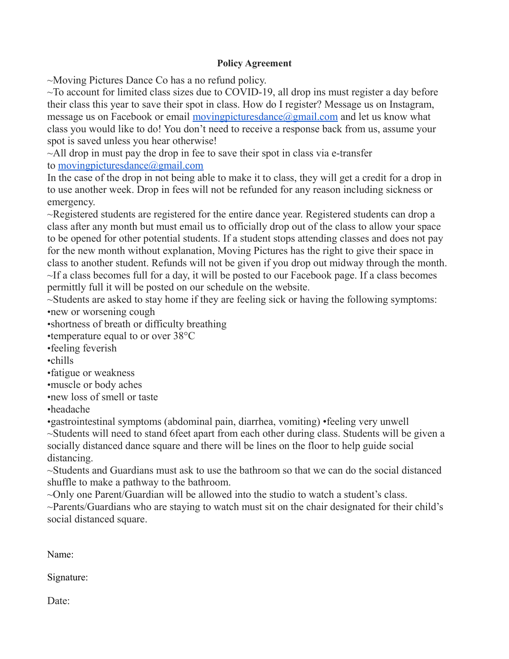## **Policy Agreement**

~Moving Pictures Dance Co has a no refund policy.

 $\sim$ To account for limited class sizes due to COVID-19, all drop ins must register a day before their class this year to save their spot in class. How do I register? Message us on Instagram, message us on Facebook or email [movingpicturesdance@gmail.com](mailto:movingpicturesdance@gmail.com) and let us know what class you would like to do! You don't need to receive a response back from us, assume your spot is saved unless you hear otherwise!

~All drop in must pay the drop in fee to save their spot in class via e-transfer to [movingpicturesdance@gmail.com](mailto:movingpicturesdance@gmail.com)

In the case of the drop in not being able to make it to class, they will get a credit for a drop in to use another week. Drop in fees will not be refunded for any reason including sickness or emergency.

~Registered students are registered for the entire dance year. Registered students can drop a class after any month but must email us to officially drop out of the class to allow your space to be opened for other potential students. If a student stops attending classes and does not pay for the new month without explanation, Moving Pictures has the right to give their space in class to another student. Refunds will not be given if you drop out midway through the month.  $\sim$ If a class becomes full for a day, it will be posted to our Facebook page. If a class becomes permittly full it will be posted on our schedule on the website.

~Students are asked to stay home if they are feeling sick or having the following symptoms: •new or worsening cough

•shortness of breath or difficulty breathing

•temperature equal to or over 38°C

•feeling feverish

•chills

•fatigue or weakness

•muscle or body aches

•new loss of smell or taste

•headache

•gastrointestinal symptoms (abdominal pain, diarrhea, vomiting) •feeling very unwell ~Students will need to stand 6feet apart from each other during class. Students will be given a

socially distanced dance square and there will be lines on the floor to help guide social distancing.

~Students and Guardians must ask to use the bathroom so that we can do the social distanced shuffle to make a pathway to the bathroom.

~Only one Parent/Guardian will be allowed into the studio to watch a student's class.

~Parents/Guardians who are staying to watch must sit on the chair designated for their child's social distanced square.

Name:

Signature:

Date: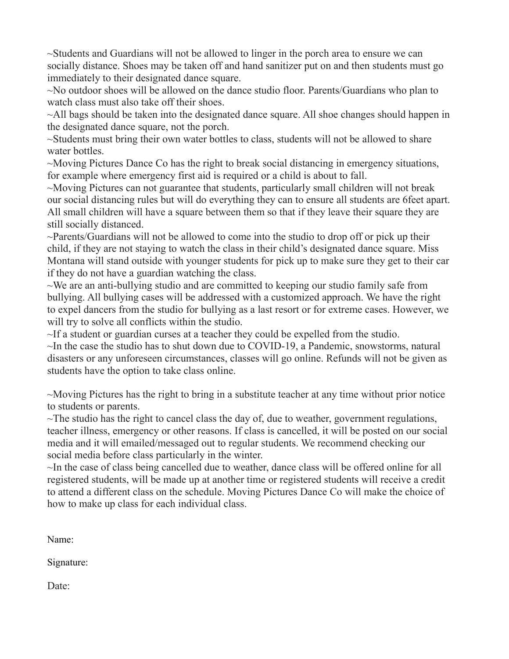~Students and Guardians will not be allowed to linger in the porch area to ensure we can socially distance. Shoes may be taken off and hand sanitizer put on and then students must go immediately to their designated dance square.

~No outdoor shoes will be allowed on the dance studio floor. Parents/Guardians who plan to watch class must also take off their shoes.

~All bags should be taken into the designated dance square. All shoe changes should happen in the designated dance square, not the porch.

~Students must bring their own water bottles to class, students will not be allowed to share water bottles.

~Moving Pictures Dance Co has the right to break social distancing in emergency situations, for example where emergency first aid is required or a child is about to fall.

~Moving Pictures can not guarantee that students, particularly small children will not break our social distancing rules but will do everything they can to ensure all students are 6feet apart. All small children will have a square between them so that if they leave their square they are still socially distanced.

~Parents/Guardians will not be allowed to come into the studio to drop off or pick up their child, if they are not staying to watch the class in their child's designated dance square. Miss Montana will stand outside with younger students for pick up to make sure they get to their car if they do not have a guardian watching the class.

~We are an anti-bullying studio and are committed to keeping our studio family safe from bullying. All bullying cases will be addressed with a customized approach. We have the right to expel dancers from the studio for bullying as a last resort or for extreme cases. However, we will try to solve all conflicts within the studio.

~If a student or guardian curses at a teacher they could be expelled from the studio. ~In the case the studio has to shut down due to COVID-19, a Pandemic, snowstorms, natural disasters or any unforeseen circumstances, classes will go online. Refunds will not be given as students have the option to take class online.

~Moving Pictures has the right to bring in a substitute teacher at any time without prior notice to students or parents.

 $\sim$ The studio has the right to cancel class the day of, due to weather, government regulations, teacher illness, emergency or other reasons. If class is cancelled, it will be posted on our social media and it will emailed/messaged out to regular students. We recommend checking our social media before class particularly in the winter.

~In the case of class being cancelled due to weather, dance class will be offered online for all registered students, will be made up at another time or registered students will receive a credit to attend a different class on the schedule. Moving Pictures Dance Co will make the choice of how to make up class for each individual class.

Name:

Signature:

Date: